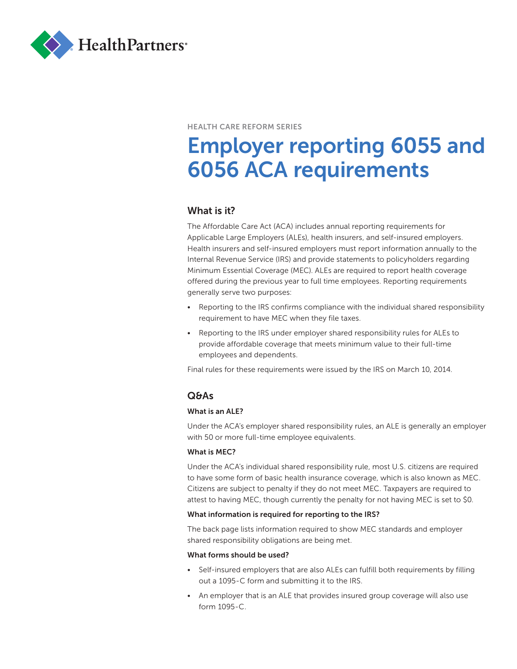

#### HEALTH CARE REFORM SERIES

# Employer reporting 6055 and 6056 ACA requirements

## What is it?

The Affordable Care Act (ACA) includes annual reporting requirements for Applicable Large Employers (ALEs), health insurers, and self-insured employers. Health insurers and self-insured employers must report information annually to the Internal Revenue Service (IRS) and provide statements to policyholders regarding Minimum Essential Coverage (MEC). ALEs are required to report health coverage offered during the previous year to full time employees. Reporting requirements generally serve two purposes:

- Reporting to the IRS confirms compliance with the individual shared responsibility requirement to have MEC when they file taxes.
- Reporting to the IRS under employer shared responsibility rules for ALEs to provide affordable coverage that meets minimum value to their full-time employees and dependents.

Final rules for these requirements were issued by the IRS on March 10, 2014.

## Q&As

#### What is an ALE?

Under the ACA's employer shared responsibility rules, an ALE is generally an employer with 50 or more full-time employee equivalents.

#### What is MEC?

Under the ACA's individual shared responsibility rule, most U.S. citizens are required to have some form of basic health insurance coverage, which is also known as MEC. Citizens are subject to penalty if they do not meet MEC. Taxpayers are required to attest to having MEC, though currently the penalty for not having MEC is set to \$0.

#### What information is required for reporting to the IRS?

The back page lists information required to show MEC standards and employer shared responsibility obligations are being met.

#### What forms should be used?

- Self-insured employers that are also ALEs can fulfill both requirements by filling out a 1095-C form and submitting it to the IRS.
- An employer that is an ALE that provides insured group coverage will also use form 1095-C.